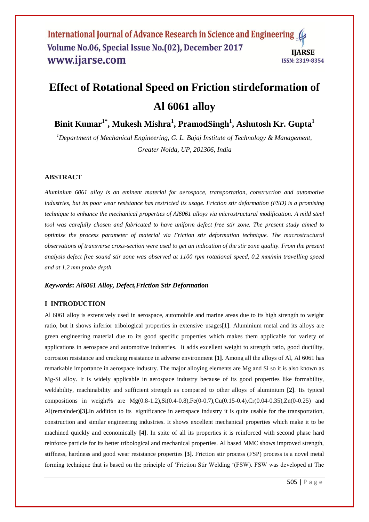#### International Journal of Advance Research in Science and Engineering Volume No.06, Special Issue No.(02), December 2017 **IIARSE** www.ijarse.com ISSN: 2319-8354

# **Effect of Rotational Speed on Friction stirdeformation of Al 6061 alloy**

**Binit Kumar1\* , Mukesh Mishra<sup>1</sup> , PramodSingh<sup>1</sup> , Ashutosh Kr. Gupta<sup>1</sup>**

*<sup>1</sup>Department of Mechanical Engineering, G. L. Bajaj Institute of Technology & Management, Greater Noida, UP, 201306, India*

## **ABSTRACT**

*Aluminium 6061 alloy is an eminent material for aerospace, transportation, construction and automotive industries, but its poor wear resistance has restricted its usage. Friction stir deformation (FSD) is a promising technique to enhance the mechanical properties of Al6061 alloys via microstructural modification. A mild steel tool was carefully chosen and fabricated to have uniform defect free stir zone. The present study aimed to optimise the process parameter of material via Friction stir deformation technique. The macrostructural observations of transverse cross-section were used to get an indication of the stir zone quality. From the present analysis defect free sound stir zone was observed at 1100 rpm rotational speed, 0.2 mm/min travelling speed and at 1.2 mm probe depth.*

#### *Keywords***:** *Al6061 Alloy, Defect,Friction Stir Deformation*

## **I INTRODUCTION**

Al 6061 alloy is extensively used in aerospace, automobile and marine areas due to its high strength to weight ratio, but it shows inferior tribological properties in extensive usages**[1]**. Aluminium metal and its alloys are green engineering material due to its good specific properties which makes them applicable for variety of applications in aerospace and automotive industries. It adds excellent weight to strength ratio, good ductility, corrosion resistance and cracking resistance in adverse environment **[1]**. Among all the alloys of Al, Al 6061 has remarkable importance in aerospace industry. The major alloying elements are Mg and Si so it is also known as Mg-Si alloy. It is widely applicable in aerospace industry because of its good properties like formability, weldability, machinability and sufficient strength as compared to other alloys of aluminium **[2]**. Its typical compositions in weight% are  $Mg(0.8-1.2)$ ,  $Si(0.4-0.8)$ ,  $Fe(0.0.7)$ ,  $Cu(0.15-0.4)$ ,  $Cr(0.04-0.35)$ ,  $Zn(0-0.25)$  and Al(remainder)**[3].**In addition to its significance in aerospace industry it is quite usable for the transportation, construction and similar engineering industries. It shows excellent mechanical properties which make it to be machined quickly and economically **[4]**. In spite of all its properties it is reinforced with second phase hard reinforce particle for its better tribological and mechanical properties. Al based MMC shows improved strength, stiffness, hardness and good wear resistance properties **[3]**. Friction stir process (FSP) process is a novel metal forming technique that is based on the principle of "Friction Stir Welding "(FSW). FSW was developed at The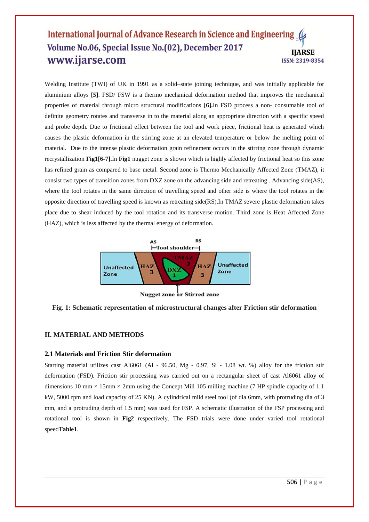#### International Journal of Advance Research in Science and Engineering ( Volume No.06, Special Issue No.(02), December 2017 **IIARSE** www.ijarse.com **ISSN: 2319-8354**

Welding Institute (TWI) of UK in 1991 as a solid–state joining technique, and was initially applicable for aluminium alloys **[5]**. FSD/ FSW is a thermo mechanical deformation method that improves the mechanical properties of material through micro structural modifications **[6].**In FSD process a non- consumable tool of definite geometry rotates and transverse in to the material along an appropriate direction with a specific speed and probe depth. Due to frictional effect between the tool and work piece, frictional heat is generated which causes the plastic deformation in the stirring zone at an elevated temperature or below the melting point of material. Due to the intense plastic deformation grain refinement occurs in the stirring zone through dynamic recrystallization **Fig1[6-7].**In **Fig1** nugget zone is shown which is highly affected by frictional heat so this zone has refined grain as compared to base metal. Second zone is Thermo Mechanically Affected Zone (TMAZ), it consist two types of transition zones from DXZ zone on the advancing side and retreating . Advancing side(AS), where the tool rotates in the same direction of travelling speed and other side is where the tool rotates in the opposite direction of travelling speed is known as retreating side(RS).In TMAZ severe plastic deformation takes place due to shear induced by the tool rotation and its transverse motion. Third zone is Heat Affected Zone (HAZ), which is less affected by the thermal energy of deformation.



Nugget zone or Stirred zone

**Fig. 1: Schematic representation of microstructural changes after Friction stir deformation**

## **II. MATERIAL AND METHODS**

#### **2.1 Materials and Friction Stir deformation**

Starting material utilizes cast Al6061 (Al - 96.50, Mg - 0.97, Si - 1.08 wt. %) alloy for the friction stir deformation (FSD). Friction stir processing was carried out on a rectangular sheet of cast Al6061 alloy of dimensions 10 mm  $\times$  15mm  $\times$  2mm using the Concept Mill 105 milling machine (7 HP spindle capacity of 1.1 kW, 5000 rpm and load capacity of 25 KN). A cylindrical mild steel tool (of dia 6mm, with protruding dia of 3 mm, and a protruding depth of 1.5 mm) was used for FSP. A schematic illustration of the FSP processing and rotational tool is shown in **Fig2** respectively. The FSD trials were done under varied tool rotational speed**Table1**.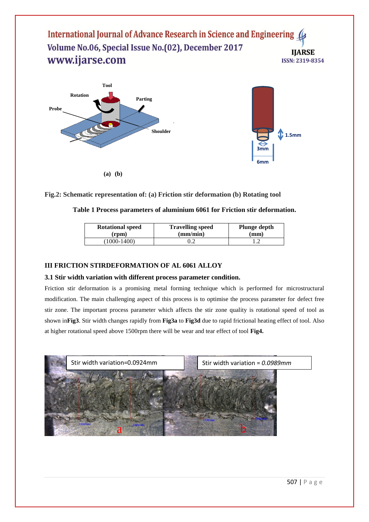International Journal of Advance Research in Science and Engineering 4 Volume No.06, Special Issue No.(02), December 2017 **IIARSE** www.ijarse.com ISSN: 2319-8354



**Fig.2: Schematic representation of: (a) Friction stir deformation (b) Rotating tool** 

| Table 1 Process parameters of aluminium 6061 for Friction stir deformation. |
|-----------------------------------------------------------------------------|
|-----------------------------------------------------------------------------|

| <b>Rotational speed</b> | <b>Travelling speed</b> | <b>Plunge depth</b> |
|-------------------------|-------------------------|---------------------|
| (rpm)                   | (mm/min)                | (mm)                |
| $(1000 - 1400)$         |                         |                     |

## **III FRICTION STIRDEFORMATION OF AL 6061 ALLOY**

## **3.1 Stir width variation with different process parameter condition.**

Friction stir deformation is a promising metal forming technique which is performed for microstructural modification. The main challenging aspect of this process is to optimise the process parameter for defect free stir zone. The important process parameter which affects the stir zone quality is rotational speed of tool as shown in**Fig3**. Stir width changes rapidly from **Fig3a** to **Fig3d** due to rapid frictional heating effect of tool. Also at higher rotational speed above 1500rpm there will be wear and tear effect of tool **Fig4.**

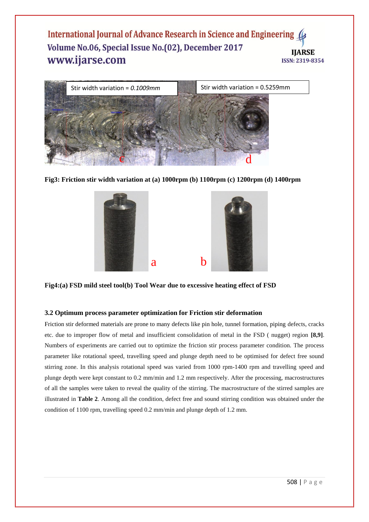## International Journal of Advance Research in Science and Engineering Volume No.06, Special Issue No.(02), December 2017 **IIARSE** www.ijarse.com ISSN: 2319-8354



**Fig3: Friction stir width variation at (a) 1000rpm (b) 1100rpm (c) 1200rpm (d) 1400rpm**



**Fig4:(a) FSD mild steel tool(b) Tool Wear due to excessive heating effect of FSD**

## **3.2 Optimum process parameter optimization for Friction stir deformation**

Friction stir deformed materials are prone to many defects like pin hole, tunnel formation, piping defects, cracks etc. due to improper flow of metal and insufficient consolidation of metal in the FSD ( nugget) region **[8,9]**. Numbers of experiments are carried out to optimize the friction stir process parameter condition. The process parameter like rotational speed, travelling speed and plunge depth need to be optimised for defect free sound stirring zone. In this analysis rotational speed was varied from 1000 rpm-1400 rpm and travelling speed and plunge depth were kept constant to 0.2 mm/min and 1.2 mm respectively. After the processing, macrostructures of all the samples were taken to reveal the quality of the stirring. The macrostructure of the stirred samples are illustrated in **Table 2**. Among all the condition, defect free and sound stirring condition was obtained under the condition of 1100 rpm, travelling speed 0.2 mm/min and plunge depth of 1.2 mm.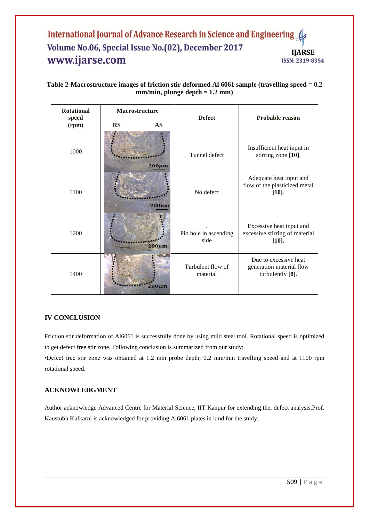## International Journal of Advance Research in Science and Engineering 4 Volume No.06, Special Issue No.(02), December 2017 **IIARSE** www.ijarse.com ISSN: 2319-8354

# **Table 2-Macrostructure images of friction stir deformed Al 6061 sample (travelling speed = 0.2 mm/min, plunge depth = 1.2 mm)**

| <b>Rotational</b><br>speed | Macrostructure |             | <b>Defect</b>                 | Probable reason                                                        |
|----------------------------|----------------|-------------|-------------------------------|------------------------------------------------------------------------|
| (rpm)                      | <b>RS</b>      | <b>AS</b>   |                               |                                                                        |
| 1000                       |                | $200 \mu m$ | Tunnel defect                 | Insufficient heat input in<br>stirring zone [10].                      |
| 1100                       |                | $200 \mu m$ | No defect                     | Adequate heat input and<br>flow of the plasticized metal<br>$[10]$ .   |
| 1200                       |                | $200 \mu m$ | Pin hole in ascending<br>side | Excessive heat input and<br>excessive stirring of material<br>$[10]$ . |
| 1400                       |                |             | Turbulent flow of<br>material | Due to excessive heat<br>generation material flow<br>turbulently [8].  |

## **IV CONCLUSION**

Friction stir deformation of Al6061 is successfully done by using mild steel tool. Rotational speed is optimized to get defect free stir zone. Following conclusion is summarized from our study:

•Defect free stir zone was obtained at 1.2 mm probe depth, 0.2 mm/min travelling speed and at 1100 rpm rotational speed.

## **ACKNOWLEDGMENT**

Author acknowledge Advanced Centre for Material Science, IIT Kanpur for extending the, defect analysis.Prof. Kaustubh Kulkarni is acknowledged for providing Al6061 plates in kind for the study.